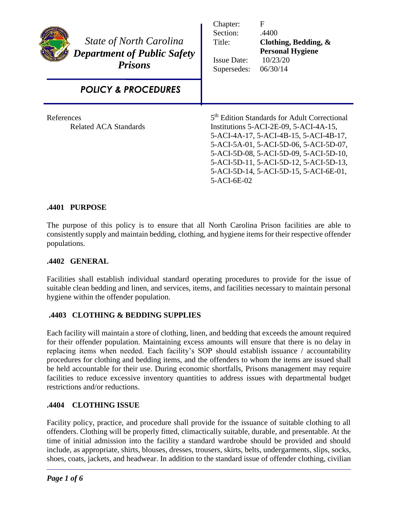| <b>State of North Carolina</b><br><b>Department of Public Safety</b><br><b>Prisons</b> | Chapter:<br>Section:<br>Title:<br><b>Issue Date:</b><br>Supersedes:                                                                                                                                                                                                                                                                 | F<br>.4400<br>Clothing, Bedding, &<br><b>Personal Hygiene</b><br>10/23/20<br>06/30/14 |
|----------------------------------------------------------------------------------------|-------------------------------------------------------------------------------------------------------------------------------------------------------------------------------------------------------------------------------------------------------------------------------------------------------------------------------------|---------------------------------------------------------------------------------------|
| <b>POLICY &amp; PROCEDURES</b>                                                         |                                                                                                                                                                                                                                                                                                                                     |                                                                                       |
| References<br>Related ACA Standards                                                    | 5 <sup>th</sup> Edition Standards for Adult Correctional<br>Institutions 5-ACI-2E-09, 5-ACI-4A-15,<br>5-ACI-4A-17, 5-ACI-4B-15, 5-ACI-4B-17,<br>5-ACI-5A-01, 5-ACI-5D-06, 5-ACI-5D-07,<br>5-ACI-5D-08, 5-ACI-5D-09, 5-ACI-5D-10,<br>5-ACI-5D-11, 5-ACI-5D-12, 5-ACI-5D-13,<br>5-ACI-5D-14, 5-ACI-5D-15, 5-ACI-6E-01,<br>5-ACI-6E-02 |                                                                                       |

# **.4401 PURPOSE**

The purpose of this policy is to ensure that all North Carolina Prison facilities are able to consistently supply and maintain bedding, clothing, and hygiene items for their respective offender populations.

## **.4402 GENERAL**

Facilities shall establish individual standard operating procedures to provide for the issue of suitable clean bedding and linen, and services, items, and facilities necessary to maintain personal hygiene within the offender population.

## **.4403 CLOTHING & BEDDING SUPPLIES**

Each facility will maintain a store of clothing, linen, and bedding that exceeds the amount required for their offender population. Maintaining excess amounts will ensure that there is no delay in replacing items when needed. Each facility's SOP should establish issuance / accountability procedures for clothing and bedding items, and the offenders to whom the items are issued shall be held accountable for their use. During economic shortfalls, Prisons management may require facilities to reduce excessive inventory quantities to address issues with departmental budget restrictions and/or reductions.

## **.4404 CLOTHING ISSUE**

Facility policy, practice, and procedure shall provide for the issuance of suitable clothing to all offenders. Clothing will be properly fitted, climactically suitable, durable, and presentable. At the time of initial admission into the facility a standard wardrobe should be provided and should include, as appropriate, shirts, blouses, dresses, trousers, skirts, belts, undergarments, slips, socks, shoes, coats, jackets, and headwear. In addition to the standard issue of offender clothing, civilian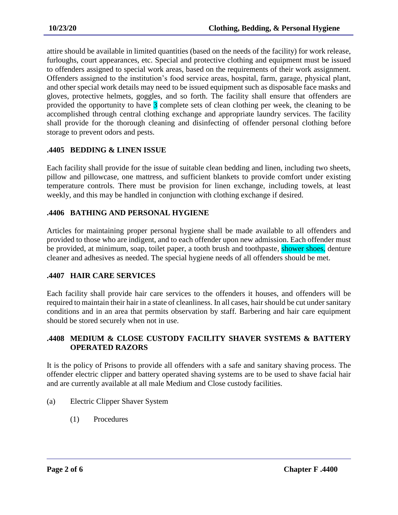attire should be available in limited quantities (based on the needs of the facility) for work release, furloughs, court appearances, etc. Special and protective clothing and equipment must be issued to offenders assigned to special work areas, based on the requirements of their work assignment. Offenders assigned to the institution's food service areas, hospital, farm, garage, physical plant, and other special work details may need to be issued equipment such as disposable face masks and gloves, protective helmets, goggles, and so forth. The facility shall ensure that offenders are provided the opportunity to have 3 complete sets of clean clothing per week, the cleaning to be accomplished through central clothing exchange and appropriate laundry services. The facility shall provide for the thorough cleaning and disinfecting of offender personal clothing before storage to prevent odors and pests.

## **.4405 BEDDING & LINEN ISSUE**

Each facility shall provide for the issue of suitable clean bedding and linen, including two sheets, pillow and pillowcase, one mattress, and sufficient blankets to provide comfort under existing temperature controls. There must be provision for linen exchange, including towels, at least weekly, and this may be handled in conjunction with clothing exchange if desired.

#### **.4406 BATHING AND PERSONAL HYGIENE**

Articles for maintaining proper personal hygiene shall be made available to all offenders and provided to those who are indigent, and to each offender upon new admission. Each offender must be provided, at minimum, soap, toilet paper, a tooth brush and toothpaste, shower shoes, denture cleaner and adhesives as needed. The special hygiene needs of all offenders should be met.

## **.4407 HAIR CARE SERVICES**

Each facility shall provide hair care services to the offenders it houses, and offenders will be required to maintain their hair in a state of cleanliness. In all cases, hair should be cut under sanitary conditions and in an area that permits observation by staff. Barbering and hair care equipment should be stored securely when not in use.

#### **.4408 MEDIUM & CLOSE CUSTODY FACILITY SHAVER SYSTEMS & BATTERY OPERATED RAZORS**

It is the policy of Prisons to provide all offenders with a safe and sanitary shaving process. The offender electric clipper and battery operated shaving systems are to be used to shave facial hair and are currently available at all male Medium and Close custody facilities.

- (a) Electric Clipper Shaver System
	- (1) Procedures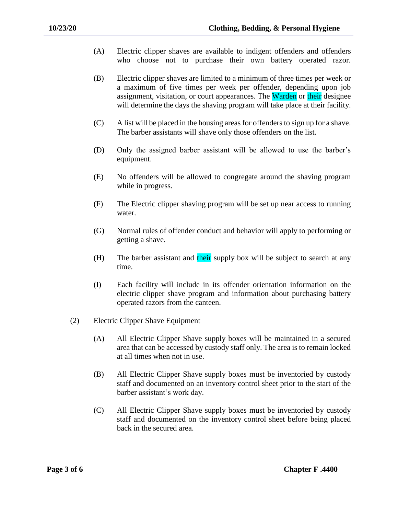- (A) Electric clipper shaves are available to indigent offenders and offenders who choose not to purchase their own battery operated razor.
- (B) Electric clipper shaves are limited to a minimum of three times per week or a maximum of five times per week per offender, depending upon job assignment, visitation, or court appearances. The Warden or their designee will determine the days the shaving program will take place at their facility.
- (C) A list will be placed in the housing areas for offenders to sign up for a shave. The barber assistants will shave only those offenders on the list.
- (D) Only the assigned barber assistant will be allowed to use the barber's equipment.
- (E) No offenders will be allowed to congregate around the shaving program while in progress.
- (F) The Electric clipper shaving program will be set up near access to running water.
- (G) Normal rules of offender conduct and behavior will apply to performing or getting a shave.
- (H) The barber assistant and their supply box will be subject to search at any time.
- (I) Each facility will include in its offender orientation information on the electric clipper shave program and information about purchasing battery operated razors from the canteen.
- (2) Electric Clipper Shave Equipment
	- (A) All Electric Clipper Shave supply boxes will be maintained in a secured area that can be accessed by custody staff only. The area is to remain locked at all times when not in use.
	- (B) All Electric Clipper Shave supply boxes must be inventoried by custody staff and documented on an inventory control sheet prior to the start of the barber assistant's work day.
	- (C) All Electric Clipper Shave supply boxes must be inventoried by custody staff and documented on the inventory control sheet before being placed back in the secured area.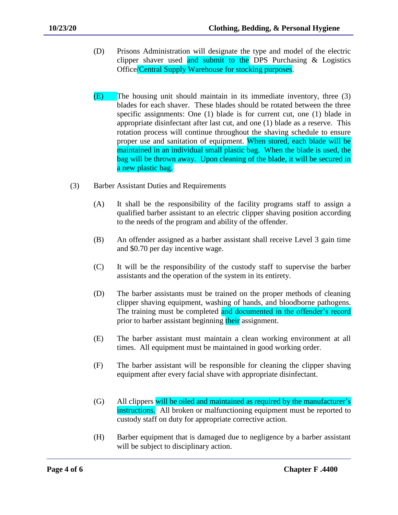- (D) Prisons Administration will designate the type and model of the electric clipper shaver used and submit to the DPS Purchasing  $\&$  Logistics Office/Central Supply Warehouse for stocking purposes.
- (E) The housing unit should maintain in its immediate inventory, three (3) blades for each shaver. These blades should be rotated between the three specific assignments: One (1) blade is for current cut, one (1) blade in appropriate disinfectant after last cut, and one (1) blade as a reserve. This rotation process will continue throughout the shaving schedule to ensure proper use and sanitation of equipment. When stored, each blade will be maintained in an individual small plastic bag. When the blade is used, the bag will be thrown away. Upon cleaning of the blade, it will be secured in a new plastic bag.
- (3) Barber Assistant Duties and Requirements
	- (A) It shall be the responsibility of the facility programs staff to assign a qualified barber assistant to an electric clipper shaving position according to the needs of the program and ability of the offender.
	- (B) An offender assigned as a barber assistant shall receive Level 3 gain time and \$0.70 per day incentive wage.
	- (C) It will be the responsibility of the custody staff to supervise the barber assistants and the operation of the system in its entirety.
	- (D) The barber assistants must be trained on the proper methods of cleaning clipper shaving equipment, washing of hands, and bloodborne pathogens. The training must be completed and documented in the offender's record prior to barber assistant beginning their assignment.
	- (E) The barber assistant must maintain a clean working environment at all times. All equipment must be maintained in good working order.
	- (F) The barber assistant will be responsible for cleaning the clipper shaving equipment after every facial shave with appropriate disinfectant.
	- (G) All clippers will be oiled and maintained as required by the manufacturer's instructions. All broken or malfunctioning equipment must be reported to custody staff on duty for appropriate corrective action.
	- (H) Barber equipment that is damaged due to negligence by a barber assistant will be subject to disciplinary action.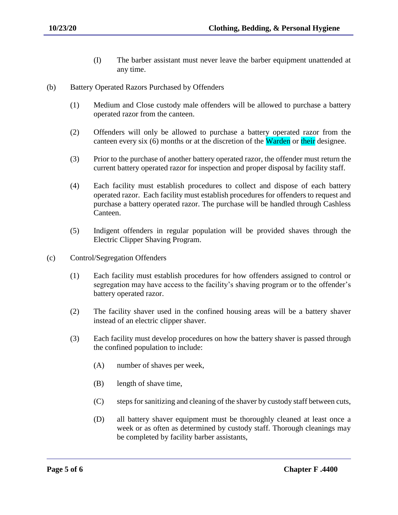- (I) The barber assistant must never leave the barber equipment unattended at any time.
- (b) Battery Operated Razors Purchased by Offenders
	- (1) Medium and Close custody male offenders will be allowed to purchase a battery operated razor from the canteen.
	- (2) Offenders will only be allowed to purchase a battery operated razor from the canteen every six (6) months or at the discretion of the Warden or their designee.
	- (3) Prior to the purchase of another battery operated razor, the offender must return the current battery operated razor for inspection and proper disposal by facility staff.
	- (4) Each facility must establish procedures to collect and dispose of each battery operated razor. Each facility must establish procedures for offenders to request and purchase a battery operated razor. The purchase will be handled through Cashless Canteen.
	- (5) Indigent offenders in regular population will be provided shaves through the Electric Clipper Shaving Program.
- (c) Control/Segregation Offenders
	- (1) Each facility must establish procedures for how offenders assigned to control or segregation may have access to the facility's shaving program or to the offender's battery operated razor.
	- (2) The facility shaver used in the confined housing areas will be a battery shaver instead of an electric clipper shaver.
	- (3) Each facility must develop procedures on how the battery shaver is passed through the confined population to include:
		- (A) number of shaves per week,
		- (B) length of shave time,
		- (C) steps for sanitizing and cleaning of the shaver by custody staff between cuts,
		- (D) all battery shaver equipment must be thoroughly cleaned at least once a week or as often as determined by custody staff. Thorough cleanings may be completed by facility barber assistants,